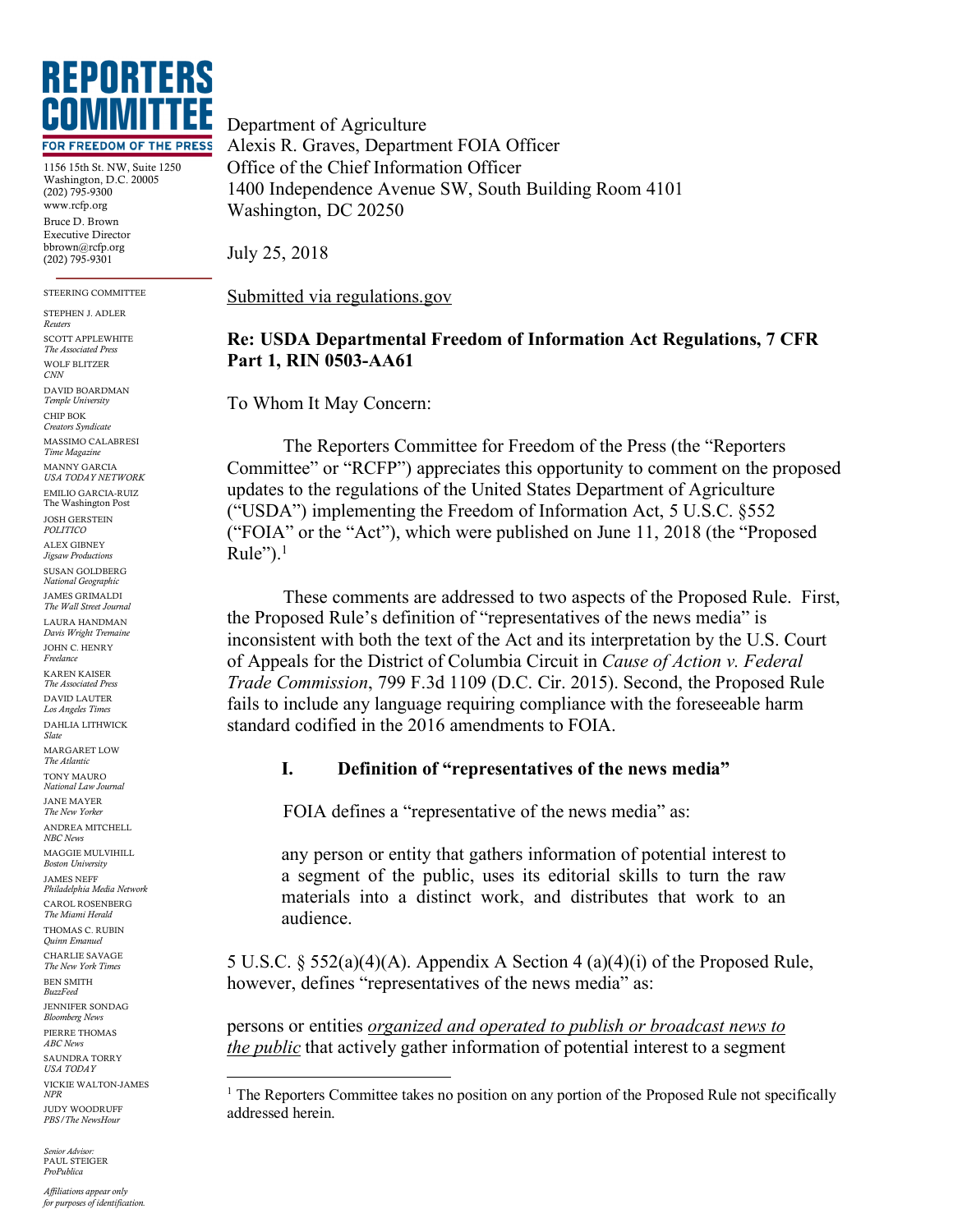

1156 15th St. NW, Suite 1250 Washington, D.C. 20005 (202) 795-9300 www.rcfp.org Bruce D. Brown Executive Director bbrown@rcfp.org (202) 795-9301

STEERING COMMITTEE

STEPHEN J. ADLER *Reuters* SCOTT APPLEWHITE *The Associated Press* WOLF BLITZER *CNN* DAVID BOARDMAN *Temple University* CHIP BOK *Creators Syndicate* MASSIMO CALABRESI *Time Magazine* MANNY GARCIA *USA TODAY NETWORK* EMILIO GARCIA-RUIZ The Washington Post JOSH GERSTEIN *POLITICO* ALEX GIBNEY *Jigsaw Productions* SUSAN GOLDBERG *National Geographic* JAMES GRIMALDI *The Wall Street Journal* LAURA HANDMAN *Davis Wright Tremaine* JOHN C. HENRY *Freelance* KAREN KAISER *The Associated Press* DAVID LAUTER *Los Angeles Times* DAHLIA LITHWICK *Slate* MARGARET LOW *The Atlantic* TONY MAURO *National Law Journal* JANE MAYER *The New Yorker* ANDREA MITCHELL *NBC News* MAGGIE MULVIHILL *Boston University* JAMES NEFF *Philadelphia Media Network* CAROL ROSENBERG *The Miami Herald* THOMAS C. RUBIN *Quinn Emanuel* CHARLIE SAVAGE *The New York Times* BEN SMITH *BuzzFeed* JENNIFER SONDAG *Bloomberg News* PIERRE THOMAS *ABC News* SAUNDRA TORRY *USA TODAY* VICKIE WALTON-JAMES *NPR* JUDY WOODRUFF *PBS/The NewsHour*

*Senior Advisor:* PAUL STEIGER *ProPublica*

*Affiliations appear only for purposes of identification.* Department of Agriculture Alexis R. Graves, Department FOIA Officer Office of the Chief Information Officer 1400 Independence Avenue SW, South Building Room 4101 Washington, DC 20250

July 25, 2018

Submitted via regulations.gov

## **Re: USDA Departmental Freedom of Information Act Regulations, 7 CFR Part 1, RIN 0503-AA61**

To Whom It May Concern:

The Reporters Committee for Freedom of the Press (the "Reporters Committee" or "RCFP") appreciates this opportunity to comment on the proposed updates to the regulations of the United States Department of Agriculture ("USDA") implementing the Freedom of Information Act, 5 U.S.C. §552 ("FOIA" or the "Act"), which were published on June 11, 2018 (the "Proposed Rule"). $<sup>1</sup>$ </sup>

These comments are addressed to two aspects of the Proposed Rule. First, the Proposed Rule's definition of "representatives of the news media" is inconsistent with both the text of the Act and its interpretation by the U.S. Court of Appeals for the District of Columbia Circuit in *Cause of Action v. Federal Trade Commission*, 799 F.3d 1109 (D.C. Cir. 2015). Second, the Proposed Rule fails to include any language requiring compliance with the foreseeable harm standard codified in the 2016 amendments to FOIA.

## **I. Definition of "representatives of the news media"**

FOIA defines a "representative of the news media" as:

any person or entity that gathers information of potential interest to a segment of the public, uses its editorial skills to turn the raw materials into a distinct work, and distributes that work to an audience.

5 U.S.C. § 552(a)(4)(A). Appendix A Section 4 (a)(4)(i) of the Proposed Rule, however, defines "representatives of the news media" as:

persons or entities *organized and operated to publish or broadcast news to the public* that actively gather information of potential interest to a segment

<sup>&</sup>lt;sup>1</sup> The Reporters Committee takes no position on any portion of the Proposed Rule not specifically addressed herein.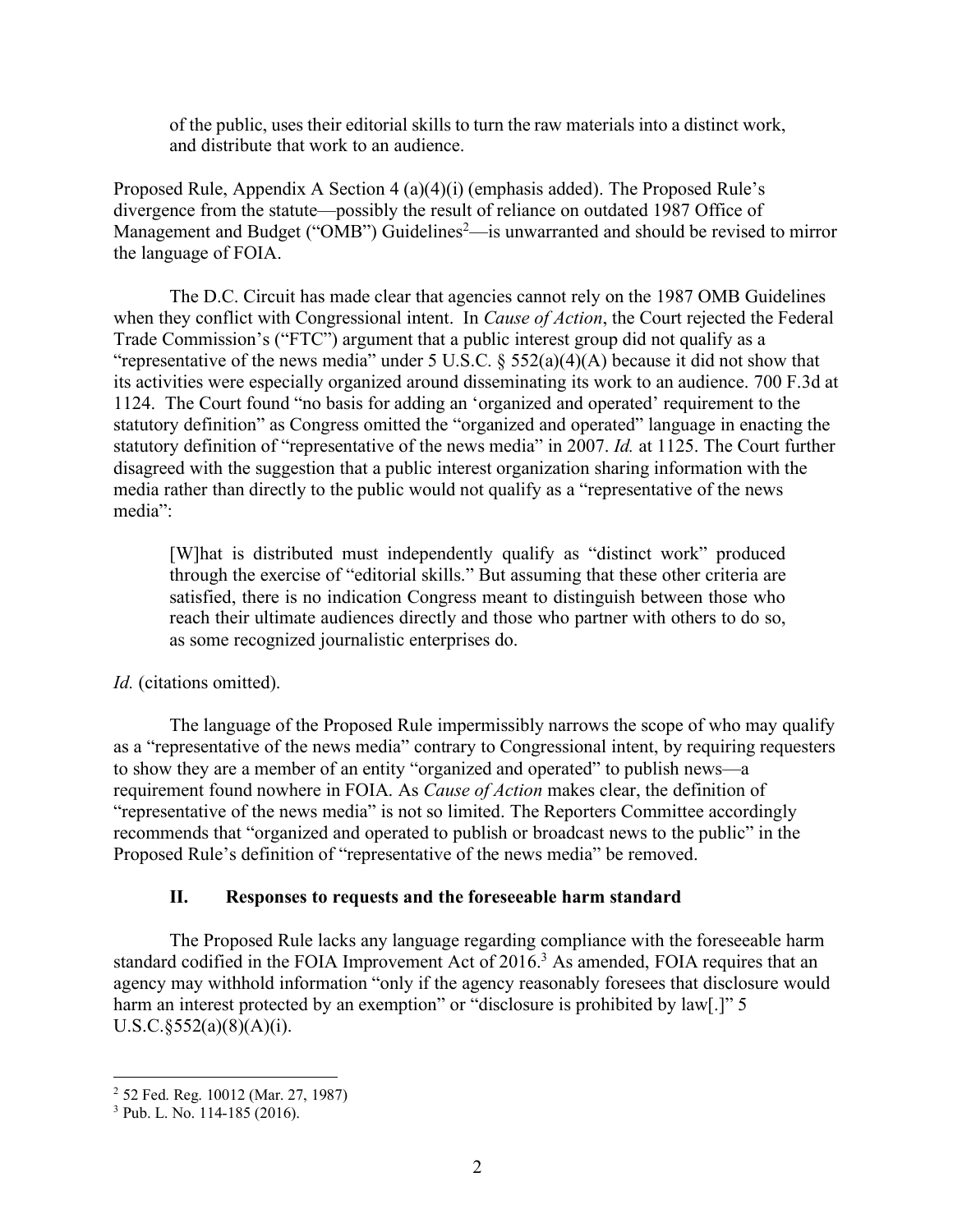of the public, uses their editorial skills to turn the raw materials into a distinct work, and distribute that work to an audience.

Proposed Rule, Appendix A Section 4 (a)(4)(i) (emphasis added). The Proposed Rule's divergence from the statute—possibly the result of reliance on outdated 1987 Office of Management and Budget ("OMB") Guidelines<sup>2</sup>—is unwarranted and should be revised to mirror the language of FOIA.

The D.C. Circuit has made clear that agencies cannot rely on the 1987 OMB Guidelines when they conflict with Congressional intent. In *Cause of Action*, the Court rejected the Federal Trade Commission's ("FTC") argument that a public interest group did not qualify as a "representative of the news media" under 5 U.S.C.  $\S$  552(a)(4)(A) because it did not show that its activities were especially organized around disseminating its work to an audience. 700 F.3d at 1124. The Court found "no basis for adding an 'organized and operated' requirement to the statutory definition" as Congress omitted the "organized and operated" language in enacting the statutory definition of "representative of the news media" in 2007. *Id.* at 1125. The Court further disagreed with the suggestion that a public interest organization sharing information with the media rather than directly to the public would not qualify as a "representative of the news media":

[W]hat is distributed must independently qualify as "distinct work" produced through the exercise of "editorial skills." But assuming that these other criteria are satisfied, there is no indication Congress meant to distinguish between those who reach their ultimate audiences directly and those who partner with others to do so, as some recognized journalistic enterprises do.

*Id.* (citations omitted).

The language of the Proposed Rule impermissibly narrows the scope of who may qualify as a "representative of the news media" contrary to Congressional intent, by requiring requesters to show they are a member of an entity "organized and operated" to publish news—a requirement found nowhere in FOIA. As *Cause of Action* makes clear, the definition of "representative of the news media" is not so limited. The Reporters Committee accordingly recommends that "organized and operated to publish or broadcast news to the public" in the Proposed Rule's definition of "representative of the news media" be removed.

## **II. Responses to requests and the foreseeable harm standard**

The Proposed Rule lacks any language regarding compliance with the foreseeable harm standard codified in the FOIA Improvement Act of 2016. <sup>3</sup> As amended, FOIA requires that an agency may withhold information "only if the agency reasonably foresees that disclosure would harm an interest protected by an exemption" or "disclosure is prohibited by law[.]" 5  $U.S.C.\S 552(a)(8)(A)(i).$ 

 <sup>2</sup> 52 Fed. Reg. 10012 (Mar. 27, 1987)

 $3$  Pub. L. No. 114-185 (2016).